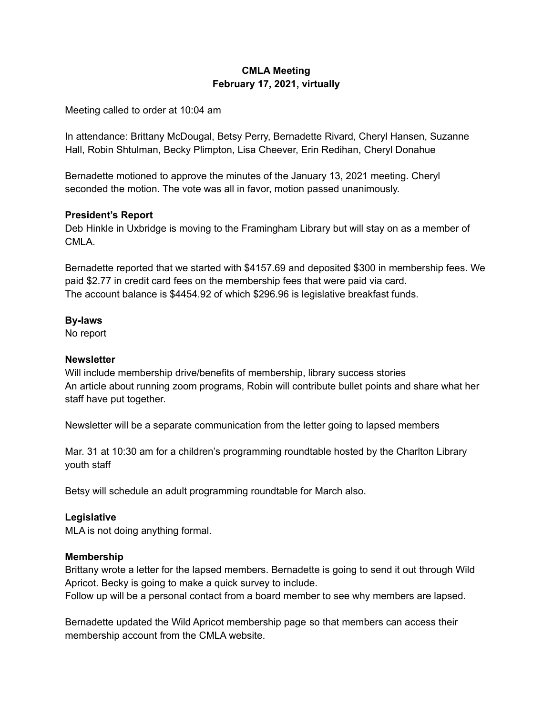## **CMLA Meeting February 17, 2021, virtually**

Meeting called to order at 10:04 am

In attendance: Brittany McDougal, Betsy Perry, Bernadette Rivard, Cheryl Hansen, Suzanne Hall, Robin Shtulman, Becky Plimpton, Lisa Cheever, Erin Redihan, Cheryl Donahue

Bernadette motioned to approve the minutes of the January 13, 2021 meeting. Cheryl seconded the motion. The vote was all in favor, motion passed unanimously.

## **President's Report**

Deb Hinkle in Uxbridge is moving to the Framingham Library but will stay on as a member of CMLA.

Bernadette reported that we started with \$4157.69 and deposited \$300 in membership fees. We paid \$2.77 in credit card fees on the membership fees that were paid via card. The account balance is \$4454.92 of which \$296.96 is legislative breakfast funds.

#### **By-laws**

No report

#### **Newsletter**

Will include membership drive/benefits of membership, library success stories An article about running zoom programs, Robin will contribute bullet points and share what her staff have put together.

Newsletter will be a separate communication from the letter going to lapsed members

Mar. 31 at 10:30 am for a children's programming roundtable hosted by the Charlton Library youth staff

Betsy will schedule an adult programming roundtable for March also.

## **Legislative**

MLA is not doing anything formal.

#### **Membership**

Brittany wrote a letter for the lapsed members. Bernadette is going to send it out through Wild Apricot. Becky is going to make a quick survey to include.

Follow up will be a personal contact from a board member to see why members are lapsed.

Bernadette updated the Wild Apricot membership page so that members can access their membership account from the CMLA website.